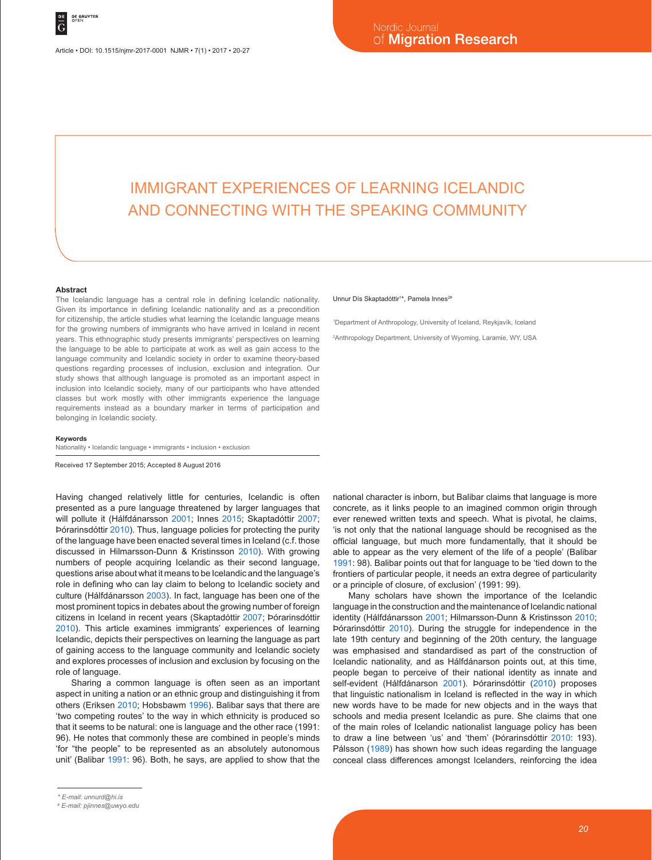# IMMIGRANT EXPERIENCES OF LEARNING ICELANDIC AND CONNECTING WITH THE SPEAKING COMMUNITY

#### **Abstract**

The Icelandic language has a central role in defining Icelandic nationality. Given its importance in defining Icelandic nationality and as a precondition for citizenship, the article studies what learning the Icelandic language means for the growing numbers of immigrants who have arrived in Iceland in recent years. This ethnographic study presents immigrants' perspectives on learning the language to be able to participate at work as well as gain access to the language community and Icelandic society in order to examine theory-based questions regarding processes of inclusion, exclusion and integration. Our study shows that although language is promoted as an important aspect in inclusion into Icelandic society, many of our participants who have attended classes but work mostly with other immigrants experience the language requirements instead as a boundary marker in terms of participation and belonging in Icelandic society.

#### **Keywords**

Nationality • Icelandic language • immigrants • inclusion • exclusion

Received 17 September 2015; Accepted 8 August 2016

Having changed relatively little for centuries, Icelandic is often presented as a pure language threatened by larger languages that will pollute it (Hálfdánarsson 2001; Innes 2015; Skaptadóttir 2007; Þórarinsdóttir 2010). Thus, language policies for protecting the purity of the language have been enacted several times in Iceland (c.f. those discussed in Hilmarsson-Dunn & Kristinsson 2010). With growing numbers of people acquiring Icelandic as their second language, questions arise about what it means to be Icelandic and the language's role in defining who can lay claim to belong to Icelandic society and culture (Hálfdánarsson 2003). In fact, language has been one of the most prominent topics in debates about the growing number of foreign citizens in Iceland in recent years (Skaptadóttir 2007; Þórarinsdóttir 2010). This article examines immigrants' experiences of learning Icelandic, depicts their perspectives on learning the language as part of gaining access to the language community and Icelandic society and explores processes of inclusion and exclusion by focusing on the role of language.

Sharing a common language is often seen as an important aspect in uniting a nation or an ethnic group and distinguishing it from others (Eriksen 2010; Hobsbawm 1996). Balibar says that there are 'two competing routes' to the way in which ethnicity is produced so that it seems to be natural: one is language and the other race (1991: 96). He notes that commonly these are combined in people's minds 'for "the people" to be represented as an absolutely autonomous unit' (Balibar 1991: 96). Both, he says, are applied to show that the

#### Unnur Dís Skaptadóttir<sup>1\*</sup>, Pamela Innes<sup>2#</sup>

1 Department of Anthropology, University of Iceland, Reykjavík, Iceland 2 Anthropology Department, University of Wyoming, Laramie, WY, USA

national character is inborn, but Balibar claims that language is more concrete, as it links people to an imagined common origin through ever renewed written texts and speech. What is pivotal, he claims, 'is not only that the national language should be recognised as the official language, but much more fundamentally, that it should be able to appear as the very element of the life of a people' (Balibar 1991: 98). Balibar points out that for language to be 'tied down to the frontiers of particular people, it needs an extra degree of particularity or a principle of closure, of exclusion' (1991: 99).

Many scholars have shown the importance of the Icelandic language in the construction and the maintenance of Icelandic national identity (Hálfdánarsson 2001; Hilmarsson-Dunn & Kristinsson 2010; Þórarinsdóttir 2010). During the struggle for independence in the late 19th century and beginning of the 20th century, the language was emphasised and standardised as part of the construction of Icelandic nationality, and as Hálfdánarson points out, at this time, people began to perceive of their national identity as innate and self-evident (Hálfdánarson 2001). Þórarinsdóttir (2010) proposes that linguistic nationalism in Iceland is reflected in the way in which new words have to be made for new objects and in the ways that schools and media present Icelandic as pure. She claims that one of the main roles of Icelandic nationalist language policy has been to draw a line between 'us' and 'them' (Þórarinsdóttir 2010: 193). Pálsson (1989) has shown how such ideas regarding the language conceal class differences amongst Icelanders, reinforcing the idea

*<sup>\*</sup> E-mail: unnurd@hi.is*

*<sup>#</sup> E-mail: pjinnes@uwyo.edu*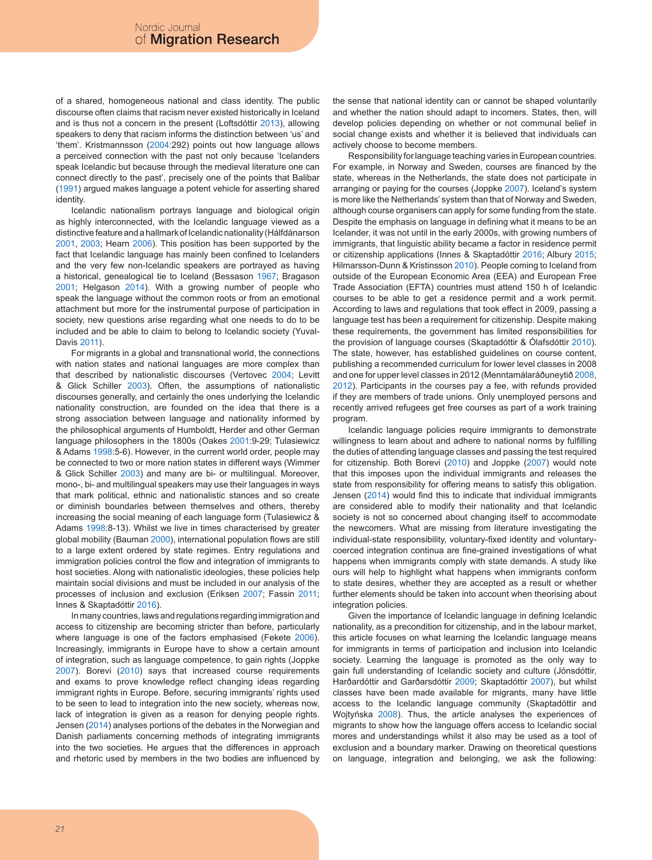of a shared, homogeneous national and class identity. The public discourse often claims that racism never existed historically in Iceland and is thus not a concern in the present (Loftsdóttir 2013), allowing speakers to deny that racism informs the distinction between 'us' and 'them'. Kristmannsson (2004:292) points out how language allows a perceived connection with the past not only because 'Icelanders speak Icelandic but because through the medieval literature one can connect directly to the past', precisely one of the points that Balibar (1991) argued makes language a potent vehicle for asserting shared identity.

Icelandic nationalism portrays language and biological origin as highly interconnected, with the Icelandic language viewed as a distinctive feature and a hallmark of Icelandic nationality (Hálfdánarson 2001, 2003; Hearn 2006). This position has been supported by the fact that Icelandic language has mainly been confined to Icelanders and the very few non-Icelandic speakers are portrayed as having a historical, genealogical tie to Iceland (Bessason 1967; Bragason 2001; Helgason 2014). With a growing number of people who speak the language without the common roots or from an emotional attachment but more for the instrumental purpose of participation in society, new questions arise regarding what one needs to do to be included and be able to claim to belong to Icelandic society (Yuval-Davis 2011).

For migrants in a global and transnational world, the connections with nation states and national languages are more complex than that described by nationalistic discourses (Vertovec 2004; Levitt & Glick Schiller 2003). Often, the assumptions of nationalistic discourses generally, and certainly the ones underlying the Icelandic nationality construction, are founded on the idea that there is a strong association between language and nationality informed by the philosophical arguments of Humboldt, Herder and other German language philosophers in the 1800s (Oakes 2001:9-29; Tulasiewicz & Adams 1998:5-6). However, in the current world order, people may be connected to two or more nation states in different ways (Wimmer & Glick Schiller 2003) and many are bi- or multilingual. Moreover, mono-, bi- and multilingual speakers may use their languages in ways that mark political, ethnic and nationalistic stances and so create or diminish boundaries between themselves and others, thereby increasing the social meaning of each language form (Tulasiewicz & Adams 1998:8-13). Whilst we live in times characterised by greater global mobility (Bauman 2000), international population flows are still to a large extent ordered by state regimes. Entry regulations and immigration policies control the flow and integration of immigrants to host societies. Along with nationalistic ideologies, these policies help maintain social divisions and must be included in our analysis of the processes of inclusion and exclusion (Eriksen 2007; Fassin 2011; Innes & Skaptadóttir 2016).

In many countries, laws and regulations regarding immigration and access to citizenship are becoming stricter than before, particularly where language is one of the factors emphasised (Fekete 2006). Increasingly, immigrants in Europe have to show a certain amount of integration, such as language competence, to gain rights (Joppke 2007). Borevi (2010) says that increased course requirements and exams to prove knowledge reflect changing ideas regarding immigrant rights in Europe. Before, securing immigrants' rights used to be seen to lead to integration into the new society, whereas now, lack of integration is given as a reason for denying people rights. Jensen (2014) analyses portions of the debates in the Norwegian and Danish parliaments concerning methods of integrating immigrants into the two societies. He argues that the differences in approach and rhetoric used by members in the two bodies are influenced by

the sense that national identity can or cannot be shaped voluntarily and whether the nation should adapt to incomers. States, then, will develop policies depending on whether or not communal belief in social change exists and whether it is believed that individuals can actively choose to become members.

Responsibility for language teaching varies in European countries. For example, in Norway and Sweden, courses are financed by the state, whereas in the Netherlands, the state does not participate in arranging or paying for the courses (Joppke 2007). Iceland's system is more like the Netherlands' system than that of Norway and Sweden, although course organisers can apply for some funding from the state. Despite the emphasis on language in defining what it means to be an Icelander, it was not until in the early 2000s, with growing numbers of immigrants, that linguistic ability became a factor in residence permit or citizenship applications (Innes & Skaptadóttir 2016; Albury 2015; Hilmarsson-Dunn & Kristinsson 2010). People coming to Iceland from outside of the European Economic Area (EEA) and European Free Trade Association (EFTA) countries must attend 150 h of Icelandic courses to be able to get a residence permit and a work permit. According to laws and regulations that took effect in 2009, passing a language test has been a requirement for citizenship. Despite making these requirements, the government has limited responsibilities for the provision of language courses (Skaptadóttir & Ólafsdóttir 2010). The state, however, has established guidelines on course content, publishing a recommended curriculum for lower level classes in 2008 and one for upper level classes in 2012 (Menntamálaráðuneytið 2008, 2012). Participants in the courses pay a fee, with refunds provided if they are members of trade unions. Only unemployed persons and recently arrived refugees get free courses as part of a work training program.

Icelandic language policies require immigrants to demonstrate willingness to learn about and adhere to national norms by fulfilling the duties of attending language classes and passing the test required for citizenship. Both Borevi (2010) and Joppke (2007) would note that this imposes upon the individual immigrants and releases the state from responsibility for offering means to satisfy this obligation. Jensen (2014) would find this to indicate that individual immigrants are considered able to modify their nationality and that Icelandic society is not so concerned about changing itself to accommodate the newcomers. What are missing from literature investigating the individual-state responsibility, voluntary-fixed identity and voluntarycoerced integration continua are fine-grained investigations of what happens when immigrants comply with state demands. A study like ours will help to highlight what happens when immigrants conform to state desires, whether they are accepted as a result or whether further elements should be taken into account when theorising about integration policies.

Given the importance of Icelandic language in defining Icelandic nationality, as a precondition for citizenship, and in the labour market, this article focuses on what learning the Icelandic language means for immigrants in terms of participation and inclusion into Icelandic society. Learning the language is promoted as the only way to gain full understanding of Icelandic society and culture (Jónsdóttir, Harðardóttir and Garðarsdóttir 2009; Skaptadóttir 2007), but whilst classes have been made available for migrants, many have little access to the Icelandic language community (Skaptadóttir and Wojtyńska 2008). Thus, the article analyses the experiences of migrants to show how the language offers access to Icelandic social mores and understandings whilst it also may be used as a tool of exclusion and a boundary marker. Drawing on theoretical questions on language, integration and belonging, we ask the following: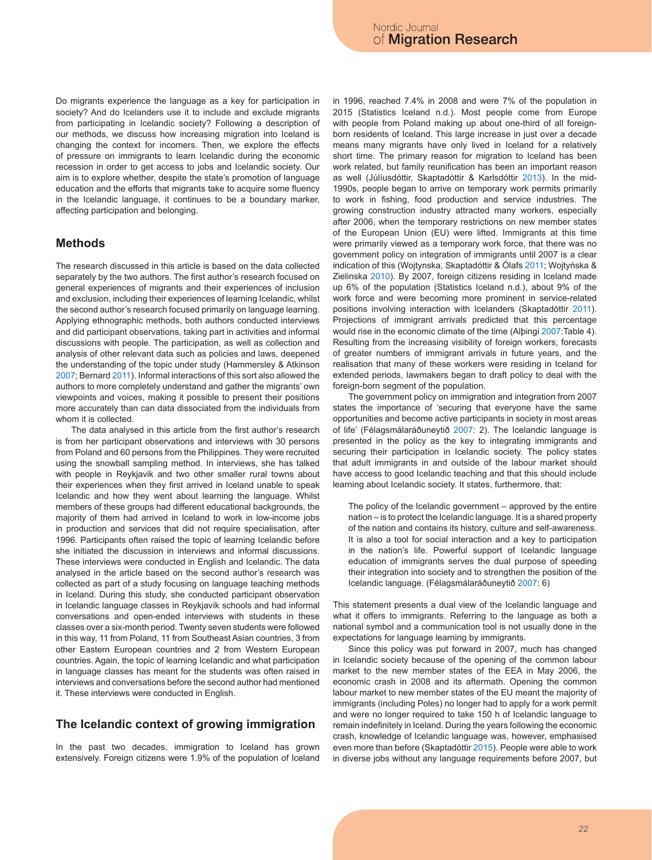Do migrants experience the language as a key for participation in society? And do Icelanders use it to include and exclude migrants from participating in Icelandic society? Following a description of our methods, we discuss how increasing migration into Iceland is changing the context for incomers. Then, we explore the effects of pressure on immigrants to learn Icelandic during the economic recession in order to get access to jobs and Icelandic society. Our aim is to explore whether, despite the state's promotion of language education and the efforts that migrants take to acquire some fluency in the Icelandic language, it continues to be a boundary marker, affecting participation and belonging.

#### **Methods**

The research discussed in this article is based on the data collected separately by the two authors. The first author's research focused on general experiences of migrants and their experiences of inclusion and exclusion, including their experiences of learning Icelandic, whilst the second author's research focused primarily on language learning. Applying ethnographic methods, both authors conducted interviews and did participant observations, taking part in activities and informal discussions with people. The participation, as well as collection and analysis of other relevant data such as policies and laws, deepened the understanding of the topic under study (Hammersley & Atkinson 2007; Bernard 2011). Informal interactions of this sort also allowed the authors to more completely understand and gather the migrants' own viewpoints and voices, making it possible to present their positions more accurately than can data dissociated from the individuals from whom it is collected.

The data analysed in this article from the first author's research is from her participant observations and interviews with 30 persons from Poland and 60 persons from the Philippines. They were recruited using the snowball sampling method. In interviews, she has talked with people in Reykjavik and two other smaller rural towns about their experiences when they first arrived in Iceland unable to speak Icelandic and how they went about learning the language. Whilst members of these groups had different educational backgrounds, the majority of them had arrived in Iceland to work in low-income jobs in production and services that did not require specialisation, after 1996. Participants often raised the topic of learning Icelandic before she initiated the discussion in interviews and informal discussions. These interviews were conducted in English and Icelandic. The data analysed in the article based on the second author's research was collected as part of a study focusing on language teaching methods in Iceland. During this study, she conducted participant observation in Icelandic language classes in Reykjavík schools and had informal conversations and open-ended interviews with students in these classes over a six-month period. Twenty seven students were followed in this way, 11 from Poland, 11 from Southeast Asian countries, 3 from other Eastern European countries and 2 from Western European countries. Again, the topic of learning Icelandic and what participation in language classes has meant for the students was often raised in interviews and conversations before the second author had mentioned it. These interviews were conducted in English.

#### **The Icelandic context of growing immigration**

In the past two decades, immigration to Iceland has grown extensively. Foreign citizens were 1.9% of the population of Iceland in 1996, reached 7.4% in 2008 and were 7% of the population in 2015 (Statistics Iceland n.d.). Most people come from Europe with people from Poland making up about one-third of all foreignborn residents of Iceland. This large increase in just over a decade means many migrants have only lived in Iceland for a relatively short time. The primary reason for migration to Iceland has been work related, but family reunification has been an important reason as well (Júlíusdóttir, Skaptadóttir & Karlsdóttir 2013). In the mid-1990s, people began to arrive on temporary work permits primarily to work in fishing, food production and service industries. The growing construction industry attracted many workers, especially after 2006, when the temporary restrictions on new member states of the European Union (EU) were lifted. Immigrants at this time were primarily viewed as a temporary work force, that there was no government policy on integration of immigrants until 2007 is a clear indication of this (Wojtynska, Skaptadóttir & Ólafs 2011; Wojtyńska & Zielinska 2010). By 2007, foreign citizens residing in Iceland made up 6% of the population (Statistics Iceland n.d.), about 9% of the work force and were becoming more prominent in service-related positions involving interaction with Icelanders (Skaptadóttir 2011). Projections of immigrant arrivals predicted that this percentage would rise in the economic climate of the time (Alþingi 2007:Table 4). Resulting from the increasing visibility of foreign workers, forecasts of greater numbers of immigrant arrivals in future years, and the realisation that many of these workers were residing in Iceland for extended periods, lawmakers began to draft policy to deal with the foreign-born segment of the population.

The government policy on immigration and integration from 2007 states the importance of 'securing that everyone have the same opportunities and become active participants in society in most areas of life' (Félagsmálaráðuneytið 2007: 2). The Icelandic language is presented in the policy as the key to integrating immigrants and securing their participation in Icelandic society. The policy states that adult immigrants in and outside of the labour market should have access to good Icelandic teaching and that this should include learning about Icelandic society. It states, furthermore, that:

The policy of the Icelandic government – approved by the entire nation – is to protect the Icelandic language. It is a shared property of the nation and contains its history, culture and self-awareness. It is also a tool for social interaction and a key to participation in the nation's life. Powerful support of Icelandic language education of immigrants serves the dual purpose of speeding their integration into society and to strengthen the position of the Icelandic language. (Félagsmálaráðuneytið 2007: 6)

This statement presents a dual view of the Icelandic language and what it offers to immigrants. Referring to the language as both a national symbol and a communication tool is not usually done in the expectations for language learning by immigrants.

Since this policy was put forward in 2007, much has changed in Icelandic society because of the opening of the common labour market to the new member states of the EEA in May 2006, the economic crash in 2008 and its aftermath. Opening the common labour market to new member states of the EU meant the majority of immigrants (including Poles) no longer had to apply for a work permit and were no longer required to take 150 h of Icelandic language to remain indefinitely in Iceland. During the years following the economic crash, knowledge of Icelandic language was, however, emphasised even more than before (Skaptadóttir 2015). People were able to work in diverse jobs without any language requirements before 2007, but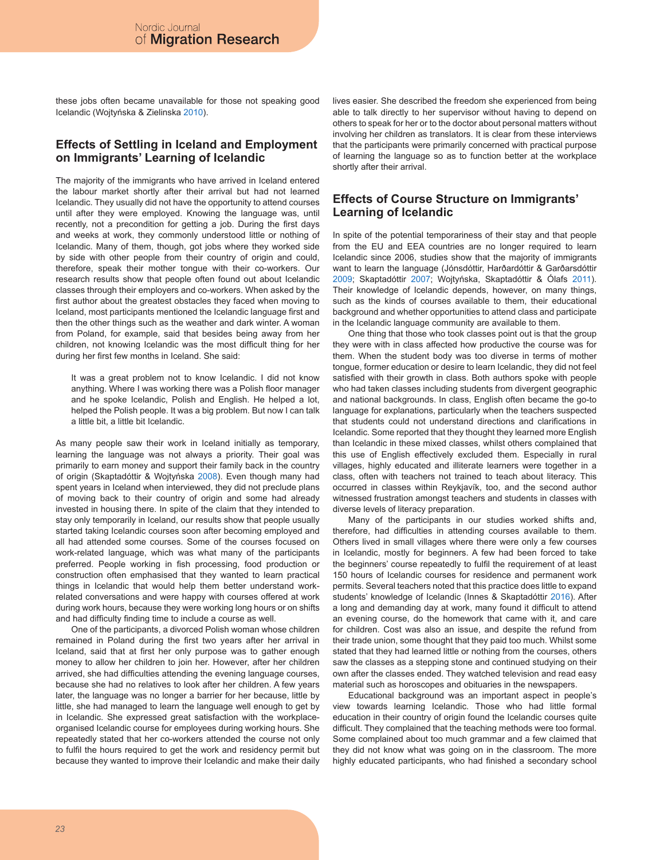these jobs often became unavailable for those not speaking good Icelandic (Wojtyńska & Zielinska 2010).

#### **Effects of Settling in Iceland and Employment on Immigrants' Learning of Icelandic**

The majority of the immigrants who have arrived in Iceland entered the labour market shortly after their arrival but had not learned Icelandic. They usually did not have the opportunity to attend courses until after they were employed. Knowing the language was, until recently, not a precondition for getting a job. During the first days and weeks at work, they commonly understood little or nothing of Icelandic. Many of them, though, got jobs where they worked side by side with other people from their country of origin and could, therefore, speak their mother tongue with their co-workers. Our research results show that people often found out about Icelandic classes through their employers and co-workers. When asked by the first author about the greatest obstacles they faced when moving to Iceland, most participants mentioned the Icelandic language first and then the other things such as the weather and dark winter. A woman from Poland, for example, said that besides being away from her children, not knowing Icelandic was the most difficult thing for her during her first few months in Iceland. She said:

It was a great problem not to know Icelandic. I did not know anything. Where I was working there was a Polish floor manager and he spoke Icelandic, Polish and English. He helped a lot, helped the Polish people. It was a big problem. But now I can talk a little bit, a little bit Icelandic.

As many people saw their work in Iceland initially as temporary, learning the language was not always a priority. Their goal was primarily to earn money and support their family back in the country of origin (Skaptadóttir & Wojtyńska 2008). Even though many had spent years in Iceland when interviewed, they did not preclude plans of moving back to their country of origin and some had already invested in housing there. In spite of the claim that they intended to stay only temporarily in Iceland, our results show that people usually started taking Icelandic courses soon after becoming employed and all had attended some courses. Some of the courses focused on work-related language, which was what many of the participants preferred. People working in fish processing, food production or construction often emphasised that they wanted to learn practical things in Icelandic that would help them better understand workrelated conversations and were happy with courses offered at work during work hours, because they were working long hours or on shifts and had difficulty finding time to include a course as well.

One of the participants, a divorced Polish woman whose children remained in Poland during the first two years after her arrival in Iceland, said that at first her only purpose was to gather enough money to allow her children to join her. However, after her children arrived, she had difficulties attending the evening language courses, because she had no relatives to look after her children. A few years later, the language was no longer a barrier for her because, little by little, she had managed to learn the language well enough to get by in Icelandic. She expressed great satisfaction with the workplaceorganised Icelandic course for employees during working hours. She repeatedly stated that her co-workers attended the course not only to fulfil the hours required to get the work and residency permit but because they wanted to improve their Icelandic and make their daily lives easier. She described the freedom she experienced from being able to talk directly to her supervisor without having to depend on others to speak for her or to the doctor about personal matters without involving her children as translators. It is clear from these interviews that the participants were primarily concerned with practical purpose of learning the language so as to function better at the workplace shortly after their arrival.

### **Effects of Course Structure on Immigrants' Learning of Icelandic**

In spite of the potential temporariness of their stay and that people from the EU and EEA countries are no longer required to learn Icelandic since 2006, studies show that the majority of immigrants want to learn the language (Jónsdóttir, Harðardóttir & Garðarsdóttir 2009; Skaptadóttir 2007; Wojtyńska, Skaptadóttir & Ólafs 2011). Their knowledge of Icelandic depends, however, on many things, such as the kinds of courses available to them, their educational background and whether opportunities to attend class and participate in the Icelandic language community are available to them.

One thing that those who took classes point out is that the group they were with in class affected how productive the course was for them. When the student body was too diverse in terms of mother tongue, former education or desire to learn Icelandic, they did not feel satisfied with their growth in class. Both authors spoke with people who had taken classes including students from divergent geographic and national backgrounds. In class, English often became the go-to language for explanations, particularly when the teachers suspected that students could not understand directions and clarifications in Icelandic. Some reported that they thought they learned more English than Icelandic in these mixed classes, whilst others complained that this use of English effectively excluded them. Especially in rural villages, highly educated and illiterate learners were together in a class, often with teachers not trained to teach about literacy. This occurred in classes within Reykjavík, too, and the second author witnessed frustration amongst teachers and students in classes with diverse levels of literacy preparation.

Many of the participants in our studies worked shifts and, therefore, had difficulties in attending courses available to them. Others lived in small villages where there were only a few courses in Icelandic, mostly for beginners. A few had been forced to take the beginners' course repeatedly to fulfil the requirement of at least 150 hours of Icelandic courses for residence and permanent work permits. Several teachers noted that this practice does little to expand students' knowledge of Icelandic (Innes & Skaptadóttir 2016). After a long and demanding day at work, many found it difficult to attend an evening course, do the homework that came with it, and care for children. Cost was also an issue, and despite the refund from their trade union, some thought that they paid too much. Whilst some stated that they had learned little or nothing from the courses, others saw the classes as a stepping stone and continued studying on their own after the classes ended. They watched television and read easy material such as horoscopes and obituaries in the newspapers.

Educational background was an important aspect in people's view towards learning Icelandic. Those who had little formal education in their country of origin found the Icelandic courses quite difficult. They complained that the teaching methods were too formal. Some complained about too much grammar and a few claimed that they did not know what was going on in the classroom. The more highly educated participants, who had finished a secondary school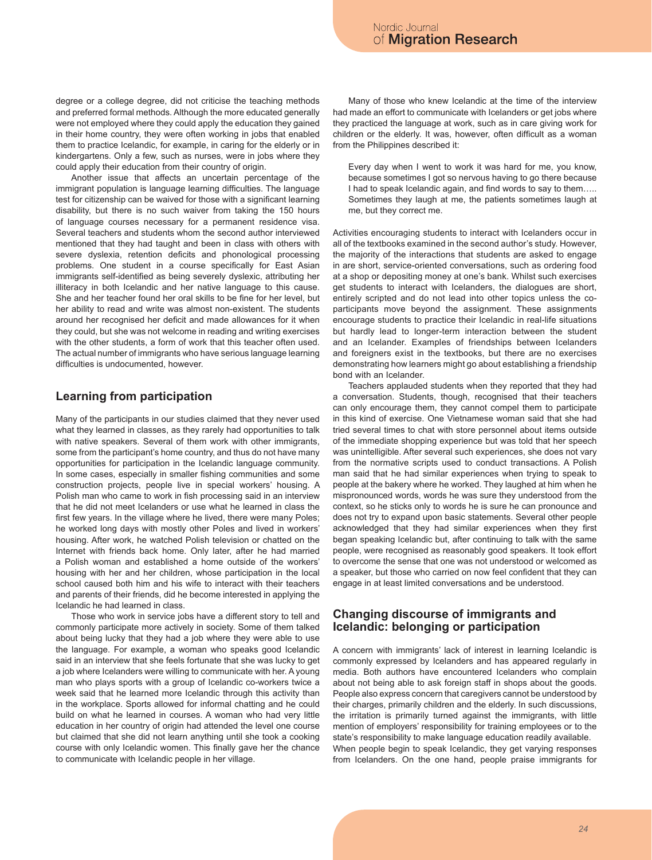degree or a college degree, did not criticise the teaching methods and preferred formal methods. Although the more educated generally were not employed where they could apply the education they gained in their home country, they were often working in jobs that enabled them to practice Icelandic, for example, in caring for the elderly or in kindergartens. Only a few, such as nurses, were in jobs where they could apply their education from their country of origin.

Another issue that affects an uncertain percentage of the immigrant population is language learning difficulties. The language test for citizenship can be waived for those with a significant learning disability, but there is no such waiver from taking the 150 hours of language courses necessary for a permanent residence visa. Several teachers and students whom the second author interviewed mentioned that they had taught and been in class with others with severe dyslexia, retention deficits and phonological processing problems. One student in a course specifically for East Asian immigrants self-identified as being severely dyslexic, attributing her illiteracy in both Icelandic and her native language to this cause. She and her teacher found her oral skills to be fine for her level, but her ability to read and write was almost non-existent. The students around her recognised her deficit and made allowances for it when they could, but she was not welcome in reading and writing exercises with the other students, a form of work that this teacher often used. The actual number of immigrants who have serious language learning difficulties is undocumented, however.

### **Learning from participation**

Many of the participants in our studies claimed that they never used what they learned in classes, as they rarely had opportunities to talk with native speakers. Several of them work with other immigrants, some from the participant's home country, and thus do not have many opportunities for participation in the Icelandic language community. In some cases, especially in smaller fishing communities and some construction projects, people live in special workers' housing. A Polish man who came to work in fish processing said in an interview that he did not meet Icelanders or use what he learned in class the first few years. In the village where he lived, there were many Poles; he worked long days with mostly other Poles and lived in workers' housing. After work, he watched Polish television or chatted on the Internet with friends back home. Only later, after he had married a Polish woman and established a home outside of the workers' housing with her and her children, whose participation in the local school caused both him and his wife to interact with their teachers and parents of their friends, did he become interested in applying the Icelandic he had learned in class.

Those who work in service jobs have a different story to tell and commonly participate more actively in society. Some of them talked about being lucky that they had a job where they were able to use the language. For example, a woman who speaks good Icelandic said in an interview that she feels fortunate that she was lucky to get a job where Icelanders were willing to communicate with her. A young man who plays sports with a group of Icelandic co-workers twice a week said that he learned more Icelandic through this activity than in the workplace. Sports allowed for informal chatting and he could build on what he learned in courses. A woman who had very little education in her country of origin had attended the level one course but claimed that she did not learn anything until she took a cooking course with only Icelandic women. This finally gave her the chance to communicate with Icelandic people in her village.

Many of those who knew Icelandic at the time of the interview had made an effort to communicate with Icelanders or get jobs where they practiced the language at work, such as in care giving work for children or the elderly. It was, however, often difficult as a woman from the Philippines described it:

Every day when I went to work it was hard for me, you know, because sometimes I got so nervous having to go there because I had to speak Icelandic again, and find words to say to them….. Sometimes they laugh at me, the patients sometimes laugh at me, but they correct me.

Activities encouraging students to interact with Icelanders occur in all of the textbooks examined in the second author's study. However, the majority of the interactions that students are asked to engage in are short, service-oriented conversations, such as ordering food at a shop or depositing money at one's bank. Whilst such exercises get students to interact with Icelanders, the dialogues are short, entirely scripted and do not lead into other topics unless the coparticipants move beyond the assignment. These assignments encourage students to practice their Icelandic in real-life situations but hardly lead to longer-term interaction between the student and an Icelander. Examples of friendships between Icelanders and foreigners exist in the textbooks, but there are no exercises demonstrating how learners might go about establishing a friendship bond with an Icelander.

Teachers applauded students when they reported that they had a conversation. Students, though, recognised that their teachers can only encourage them, they cannot compel them to participate in this kind of exercise. One Vietnamese woman said that she had tried several times to chat with store personnel about items outside of the immediate shopping experience but was told that her speech was unintelligible. After several such experiences, she does not vary from the normative scripts used to conduct transactions. A Polish man said that he had similar experiences when trying to speak to people at the bakery where he worked. They laughed at him when he mispronounced words, words he was sure they understood from the context, so he sticks only to words he is sure he can pronounce and does not try to expand upon basic statements. Several other people acknowledged that they had similar experiences when they first began speaking Icelandic but, after continuing to talk with the same people, were recognised as reasonably good speakers. It took effort to overcome the sense that one was not understood or welcomed as a speaker, but those who carried on now feel confident that they can engage in at least limited conversations and be understood.

### **Changing discourse of immigrants and Icelandic: belonging or participation**

A concern with immigrants' lack of interest in learning Icelandic is commonly expressed by Icelanders and has appeared regularly in media. Both authors have encountered Icelanders who complain about not being able to ask foreign staff in shops about the goods. People also express concern that caregivers cannot be understood by their charges, primarily children and the elderly. In such discussions, the irritation is primarily turned against the immigrants, with little mention of employers' responsibility for training employees or to the state's responsibility to make language education readily available. When people begin to speak Icelandic, they get varying responses from Icelanders. On the one hand, people praise immigrants for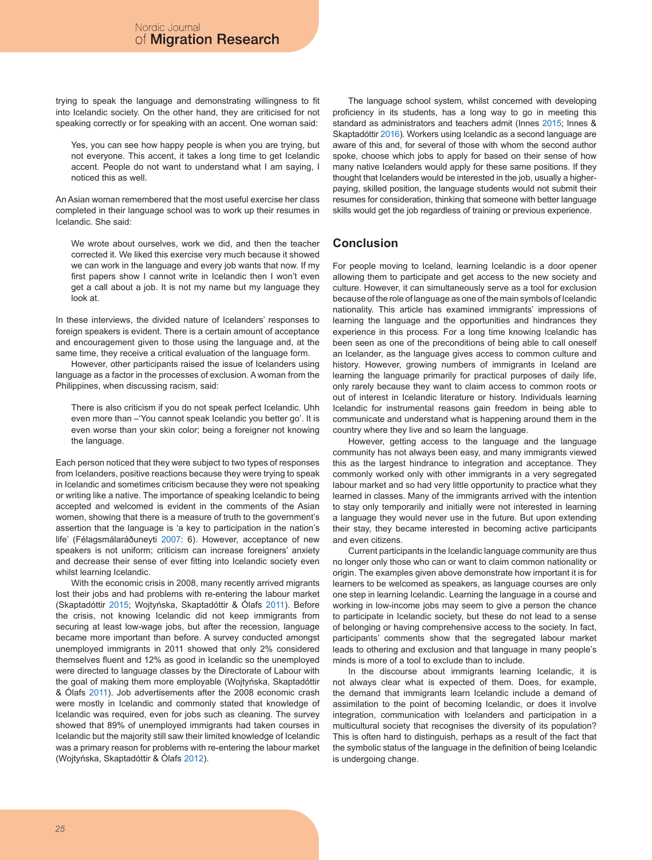trying to speak the language and demonstrating willingness to fit into Icelandic society. On the other hand, they are criticised for not speaking correctly or for speaking with an accent. One woman said:

Yes, you can see how happy people is when you are trying, but not everyone. This accent, it takes a long time to get Icelandic accent. People do not want to understand what I am saying, I noticed this as well.

An Asian woman remembered that the most useful exercise her class completed in their language school was to work up their resumes in Icelandic. She said:

We wrote about ourselves, work we did, and then the teacher corrected it. We liked this exercise very much because it showed we can work in the language and every job wants that now. If my first papers show I cannot write in Icelandic then I won't even get a call about a job. It is not my name but my language they look at.

In these interviews, the divided nature of Icelanders' responses to foreign speakers is evident. There is a certain amount of acceptance and encouragement given to those using the language and, at the same time, they receive a critical evaluation of the language form.

However, other participants raised the issue of Icelanders using language as a factor in the processes of exclusion. A woman from the Philippines, when discussing racism, said:

There is also criticism if you do not speak perfect Icelandic. Uhh even more than –'You cannot speak Icelandic you better go'. It is even worse than your skin color; being a foreigner not knowing the language.

Each person noticed that they were subject to two types of responses from Icelanders, positive reactions because they were trying to speak in Icelandic and sometimes criticism because they were not speaking or writing like a native. The importance of speaking Icelandic to being accepted and welcomed is evident in the comments of the Asian women, showing that there is a measure of truth to the government's assertion that the language is 'a key to participation in the nation's life' (Félagsmálaráðuneyti 2007: 6). However, acceptance of new speakers is not uniform; criticism can increase foreigners' anxiety and decrease their sense of ever fitting into Icelandic society even whilst learning Icelandic.

With the economic crisis in 2008, many recently arrived migrants lost their jobs and had problems with re-entering the labour market (Skaptadóttir 2015; Wojtyńska, Skaptadóttir & Ólafs 2011). Before the crisis, not knowing Icelandic did not keep immigrants from securing at least low-wage jobs, but after the recession, language became more important than before. A survey conducted amongst unemployed immigrants in 2011 showed that only 2% considered themselves fluent and 12% as good in Icelandic so the unemployed were directed to language classes by the Directorate of Labour with the goal of making them more employable (Wojtyńska, Skaptadóttir & Ólafs 2011). Job advertisements after the 2008 economic crash were mostly in Icelandic and commonly stated that knowledge of Icelandic was required, even for jobs such as cleaning. The survey showed that 89% of unemployed immigrants had taken courses in Icelandic but the majority still saw their limited knowledge of Icelandic was a primary reason for problems with re-entering the labour market (Wojtyńska, Skaptadóttir & Ólafs 2012).

The language school system, whilst concerned with developing proficiency in its students, has a long way to go in meeting this standard as administrators and teachers admit (Innes 2015; Innes & Skaptadóttir 2016). Workers using Icelandic as a second language are aware of this and, for several of those with whom the second author spoke, choose which jobs to apply for based on their sense of how many native Icelanders would apply for these same positions. If they thought that Icelanders would be interested in the job, usually a higherpaying, skilled position, the language students would not submit their resumes for consideration, thinking that someone with better language skills would get the job regardless of training or previous experience.

### **Conclusion**

For people moving to Iceland, learning Icelandic is a door opener allowing them to participate and get access to the new society and culture. However, it can simultaneously serve as a tool for exclusion because of the role of language as one of the main symbols of Icelandic nationality. This article has examined immigrants' impressions of learning the language and the opportunities and hindrances they experience in this process. For a long time knowing Icelandic has been seen as one of the preconditions of being able to call oneself an Icelander, as the language gives access to common culture and history. However, growing numbers of immigrants in Iceland are learning the language primarily for practical purposes of daily life, only rarely because they want to claim access to common roots or out of interest in Icelandic literature or history. Individuals learning Icelandic for instrumental reasons gain freedom in being able to communicate and understand what is happening around them in the country where they live and so learn the language.

However, getting access to the language and the language community has not always been easy, and many immigrants viewed this as the largest hindrance to integration and acceptance. They commonly worked only with other immigrants in a very segregated labour market and so had very little opportunity to practice what they learned in classes. Many of the immigrants arrived with the intention to stay only temporarily and initially were not interested in learning a language they would never use in the future. But upon extending their stay, they became interested in becoming active participants and even citizens.

Current participants in the Icelandic language community are thus no longer only those who can or want to claim common nationality or origin. The examples given above demonstrate how important it is for learners to be welcomed as speakers, as language courses are only one step in learning Icelandic. Learning the language in a course and working in low-income jobs may seem to give a person the chance to participate in Icelandic society, but these do not lead to a sense of belonging or having comprehensive access to the society. In fact, participants' comments show that the segregated labour market leads to othering and exclusion and that language in many people's minds is more of a tool to exclude than to include.

In the discourse about immigrants learning Icelandic, it is not always clear what is expected of them. Does, for example, the demand that immigrants learn Icelandic include a demand of assimilation to the point of becoming Icelandic, or does it involve integration, communication with Icelanders and participation in a multicultural society that recognises the diversity of its population? This is often hard to distinguish, perhaps as a result of the fact that the symbolic status of the language in the definition of being Icelandic is undergoing change.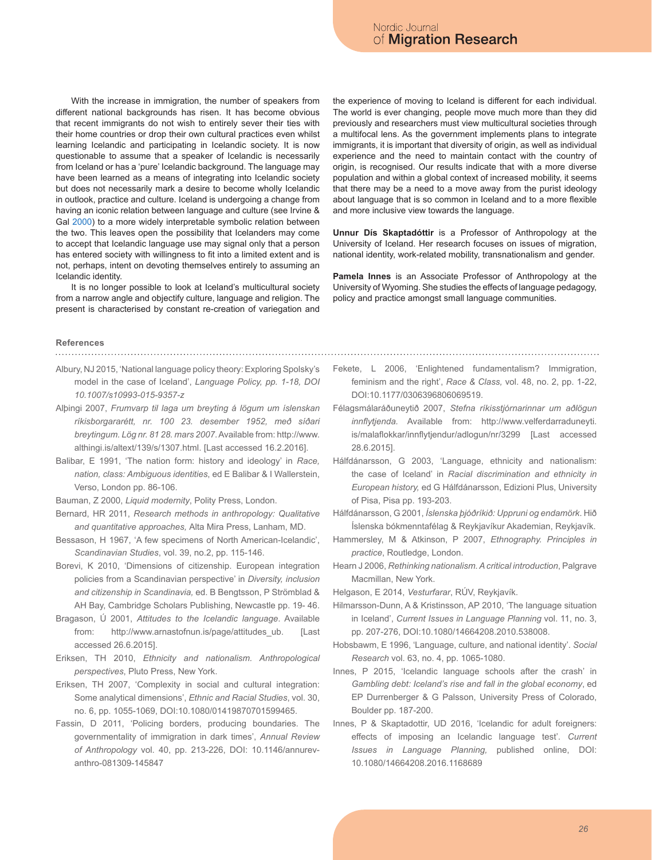With the increase in immigration, the number of speakers from different national backgrounds has risen. It has become obvious that recent immigrants do not wish to entirely sever their ties with their home countries or drop their own cultural practices even whilst learning Icelandic and participating in Icelandic society. It is now questionable to assume that a speaker of Icelandic is necessarily from Iceland or has a 'pure' Icelandic background. The language may have been learned as a means of integrating into Icelandic society but does not necessarily mark a desire to become wholly Icelandic in outlook, practice and culture. Iceland is undergoing a change from having an iconic relation between language and culture (see Irvine & Gal 2000) to a more widely interpretable symbolic relation between the two. This leaves open the possibility that Icelanders may come to accept that Icelandic language use may signal only that a person has entered society with willingness to fit into a limited extent and is not, perhaps, intent on devoting themselves entirely to assuming an Icelandic identity.

It is no longer possible to look at Iceland's multicultural society from a narrow angle and objectify culture, language and religion. The present is characterised by constant re-creation of variegation and the experience of moving to Iceland is different for each individual. The world is ever changing, people move much more than they did previously and researchers must view multicultural societies through a multifocal lens. As the government implements plans to integrate immigrants, it is important that diversity of origin, as well as individual experience and the need to maintain contact with the country of origin, is recognised. Our results indicate that with a more diverse population and within a global context of increased mobility, it seems that there may be a need to a move away from the purist ideology about language that is so common in Iceland and to a more flexible and more inclusive view towards the language.

**Unnur Dís Skaptadóttir** is a Professor of Anthropology at the University of Iceland. Her research focuses on issues of migration, national identity, work-related mobility, transnationalism and gender.

**Pamela Innes** is an Associate Professor of Anthropology at the University of Wyoming. She studies the effects of language pedagogy, policy and practice amongst small language communities.

## **References**

- 
- Albury, NJ 2015, 'National language policy theory: Exploring Spolsky's model in the case of Iceland', *Language Policy, pp. 1-18, DOI 10.1007/s10993-015-9357-z*
- Alþingi 2007, *Frumvarp til laga um breyting á lögum um íslenskan ríkisborgararétt, nr. 100 23. desember 1952, með síðari breytingum. Lög nr. 81 28. mars 2007*. Available from: http://www. althingi.is/altext/139/s/1307.html. [Last accessed 16.2.2016].
- Balibar, E 1991, 'The nation form: history and ideology' in *Race, nation, class: Ambiguous identities*, ed E Balibar & I Wallerstein, Verso, London pp. 86-106.
- Bauman, Z 2000, *Liquid modernity*, Polity Press, London.
- Bernard, HR 2011, *Research methods in anthropology: Qualitative and quantitative approaches,* Alta Mira Press, Lanham, MD.
- Bessason, H 1967, 'A few specimens of North American-Icelandic', *Scandinavian Studies*, vol. 39, no.2, pp. 115-146.
- Borevi, K 2010, 'Dimensions of citizenship. European integration policies from a Scandinavian perspective' in *Diversity, inclusion and citizenship in Scandinavia,* ed. B Bengtsson, P Strömblad & AH Bay, Cambridge Scholars Publishing, Newcastle pp. 19- 46.
- Bragason, Ú 2001, *Attitudes to the Icelandic language*. Available from: http://www.arnastofnun.is/page/attitudes\_ub. [Last accessed 26.6.2015].
- Eriksen, TH 2010, *Ethnicity and nationalism. Anthropological perspectives*, Pluto Press, New York.
- Eriksen, TH 2007, 'Complexity in social and cultural integration: Some analytical dimensions', *Ethnic and Racial Studies*, vol. 30, no. 6, pp. 1055-1069, DOI:10.1080/01419870701599465.
- Fassin, D 2011, 'Policing borders, producing boundaries. The governmentality of immigration in dark times', *Annual Review of Anthropology* vol. 40, pp. 213-226, DOI: 10.1146/annurevanthro-081309-145847
- Fekete, L 2006, 'Enlightened fundamentalism? Immigration, feminism and the right', *Race & Class,* vol. 48, no. 2, pp. 1-22, DOI:10.1177/0306396806069519.
- Félagsmálaráðuneytið 2007, *Stefna ríkisstjórnarinnar um aðlögun innflytjenda.* Available from: http://www.velferdarraduneyti. is/malaflokkar/innflytjendur/adlogun/nr/3299 [Last accessed 28.6.2015].
- Hálfdánarsson, G 2003, 'Language, ethnicity and nationalism: the case of Iceland' in *Racial discrimination and ethnicity in European history,* ed G Hálfdánarsson, Edizioni Plus, University of Pisa, Pisa pp. 193-203.
- Hálfdánarsson, G 2001, *Íslenska þjóðríkið: Uppruni og endamörk*. Hið Íslenska bókmenntafélag & Reykjavíkur Akademian, Reykjavík.
- Hammersley, M & Atkinson, P 2007, *Ethnography. Principles in practice*, Routledge, London.
- Hearn J 2006, *Rethinking nationalism. A critical introduction*, Palgrave Macmillan, New York.
- Helgason, E 2014, *Vesturfarar*, RÚV, Reykjavík.
- Hilmarsson-Dunn, A & Kristinsson, AP 2010, 'The language situation in Iceland', *Current Issues in Language Planning* vol. 11, no. 3, pp. 207-276, DOI:10.1080/14664208.2010.538008.
- Hobsbawm, E 1996, 'Language, culture, and national identity'. *Social Research* vol. 63, no. 4, pp. 1065-1080.
- Innes, P 2015, 'Icelandic language schools after the crash' in *Gambling debt: Iceland's rise and fall in the global economy*, ed EP Durrenberger & G Palsson, University Press of Colorado, Boulder pp. 187-200.
- Innes, P & Skaptadottir, UD 2016, 'Icelandic for adult foreigners: effects of imposing an Icelandic language test'. *Current Issues in Language Planning,* published online, DOI: 10.1080/14664208.2016.1168689